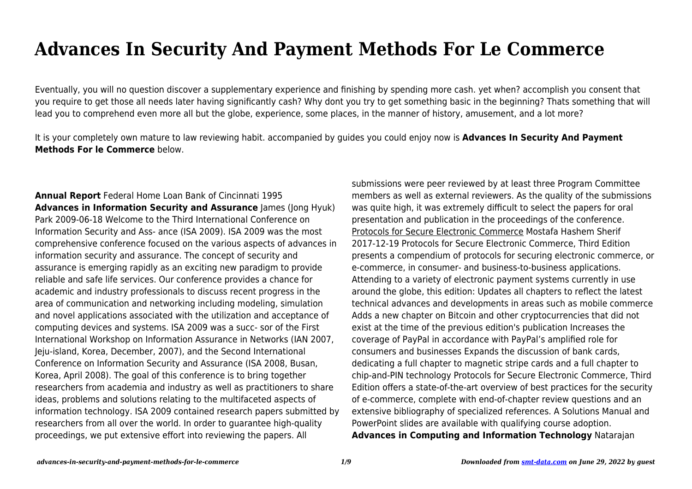# **Advances In Security And Payment Methods For Le Commerce**

Eventually, you will no question discover a supplementary experience and finishing by spending more cash. yet when? accomplish you consent that you require to get those all needs later having significantly cash? Why dont you try to get something basic in the beginning? Thats something that will lead you to comprehend even more all but the globe, experience, some places, in the manner of history, amusement, and a lot more?

It is your completely own mature to law reviewing habit. accompanied by guides you could enjoy now is **Advances In Security And Payment Methods For le Commerce** below.

**Annual Report** Federal Home Loan Bank of Cincinnati 1995 **Advances in Information Security and Assurance** James (Jong Hyuk) Park 2009-06-18 Welcome to the Third International Conference on Information Security and Ass- ance (ISA 2009). ISA 2009 was the most comprehensive conference focused on the various aspects of advances in information security and assurance. The concept of security and assurance is emerging rapidly as an exciting new paradigm to provide reliable and safe life services. Our conference provides a chance for academic and industry professionals to discuss recent progress in the area of communication and networking including modeling, simulation and novel applications associated with the utilization and acceptance of computing devices and systems. ISA 2009 was a succ- sor of the First International Workshop on Information Assurance in Networks (IAN 2007, Jeju-island, Korea, December, 2007), and the Second International Conference on Information Security and Assurance (ISA 2008, Busan, Korea, April 2008). The goal of this conference is to bring together researchers from academia and industry as well as practitioners to share ideas, problems and solutions relating to the multifaceted aspects of information technology. ISA 2009 contained research papers submitted by researchers from all over the world. In order to guarantee high-quality proceedings, we put extensive effort into reviewing the papers. All

submissions were peer reviewed by at least three Program Committee members as well as external reviewers. As the quality of the submissions was quite high, it was extremely difficult to select the papers for oral presentation and publication in the proceedings of the conference. Protocols for Secure Electronic Commerce Mostafa Hashem Sherif 2017-12-19 Protocols for Secure Electronic Commerce, Third Edition presents a compendium of protocols for securing electronic commerce, or e-commerce, in consumer- and business-to-business applications. Attending to a variety of electronic payment systems currently in use around the globe, this edition: Updates all chapters to reflect the latest technical advances and developments in areas such as mobile commerce Adds a new chapter on Bitcoin and other cryptocurrencies that did not exist at the time of the previous edition's publication Increases the coverage of PayPal in accordance with PayPal's amplified role for consumers and businesses Expands the discussion of bank cards, dedicating a full chapter to magnetic stripe cards and a full chapter to chip-and-PIN technology Protocols for Secure Electronic Commerce, Third Edition offers a state-of-the-art overview of best practices for the security of e-commerce, complete with end-of-chapter review questions and an extensive bibliography of specialized references. A Solutions Manual and PowerPoint slides are available with qualifying course adoption. **Advances in Computing and Information Technology** Natarajan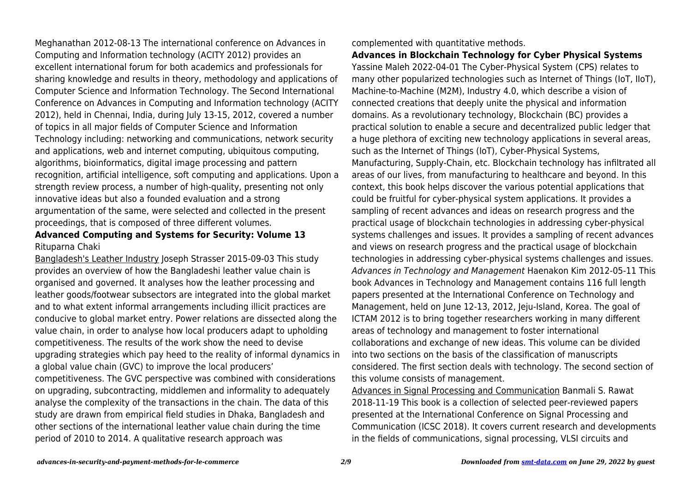Meghanathan 2012-08-13 The international conference on Advances in Computing and Information technology (ACITY 2012) provides an excellent international forum for both academics and professionals for sharing knowledge and results in theory, methodology and applications of Computer Science and Information Technology. The Second International Conference on Advances in Computing and Information technology (ACITY 2012), held in Chennai, India, during July 13-15, 2012, covered a number of topics in all major fields of Computer Science and Information Technology including: networking and communications, network security and applications, web and internet computing, ubiquitous computing, algorithms, bioinformatics, digital image processing and pattern recognition, artificial intelligence, soft computing and applications. Upon a strength review process, a number of high-quality, presenting not only innovative ideas but also a founded evaluation and a strong argumentation of the same, were selected and collected in the present proceedings, that is composed of three different volumes.

## **Advanced Computing and Systems for Security: Volume 13** Rituparna Chaki

Bangladesh's Leather Industry Joseph Strasser 2015-09-03 This study provides an overview of how the Bangladeshi leather value chain is organised and governed. It analyses how the leather processing and leather goods/footwear subsectors are integrated into the global market and to what extent informal arrangements including illicit practices are conducive to global market entry. Power relations are dissected along the value chain, in order to analyse how local producers adapt to upholding competitiveness. The results of the work show the need to devise upgrading strategies which pay heed to the reality of informal dynamics in a global value chain (GVC) to improve the local producers' competitiveness. The GVC perspective was combined with considerations on upgrading, subcontracting, middlemen and informality to adequately analyse the complexity of the transactions in the chain. The data of this study are drawn from empirical field studies in Dhaka, Bangladesh and other sections of the international leather value chain during the time period of 2010 to 2014. A qualitative research approach was

complemented with quantitative methods.

**Advances in Blockchain Technology for Cyber Physical Systems** Yassine Maleh 2022-04-01 The Cyber-Physical System (CPS) relates to many other popularized technologies such as Internet of Things (IoT, IIoT), Machine-to-Machine (M2M), Industry 4.0, which describe a vision of connected creations that deeply unite the physical and information domains. As a revolutionary technology, Blockchain (BC) provides a practical solution to enable a secure and decentralized public ledger that a huge plethora of exciting new technology applications in several areas, such as the Internet of Things (IoT), Cyber-Physical Systems, Manufacturing, Supply-Chain, etc. Blockchain technology has infiltrated all areas of our lives, from manufacturing to healthcare and beyond. In this context, this book helps discover the various potential applications that could be fruitful for cyber-physical system applications. It provides a sampling of recent advances and ideas on research progress and the practical usage of blockchain technologies in addressing cyber-physical systems challenges and issues. It provides a sampling of recent advances and views on research progress and the practical usage of blockchain technologies in addressing cyber-physical systems challenges and issues. Advances in Technology and Management Haenakon Kim 2012-05-11 This book Advances in Technology and Management contains 116 full length papers presented at the International Conference on Technology and Management, held on June 12-13, 2012, Jeju-Island, Korea. The goal of ICTAM 2012 is to bring together researchers working in many different areas of technology and management to foster international collaborations and exchange of new ideas. This volume can be divided into two sections on the basis of the classification of manuscripts considered. The first section deals with technology. The second section of this volume consists of management.

Advances in Signal Processing and Communication Banmali S. Rawat 2018-11-19 This book is a collection of selected peer-reviewed papers presented at the International Conference on Signal Processing and Communication (ICSC 2018). It covers current research and developments in the fields of communications, signal processing, VLSI circuits and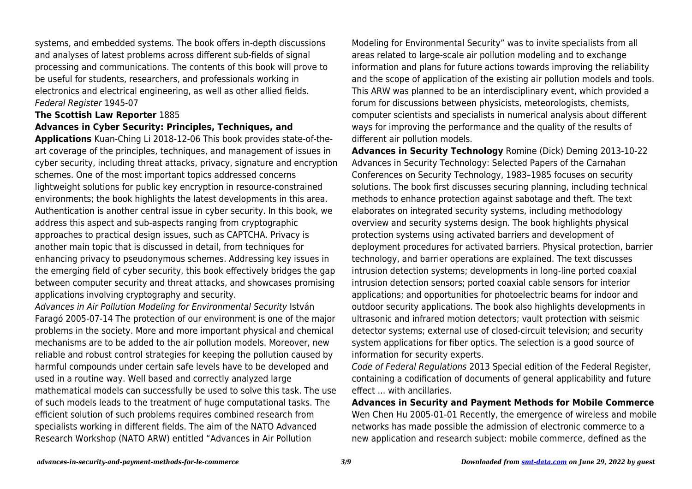systems, and embedded systems. The book offers in-depth discussions and analyses of latest problems across different sub-fields of signal processing and communications. The contents of this book will prove to be useful for students, researchers, and professionals working in electronics and electrical engineering, as well as other allied fields. Federal Register 1945-07

### **The Scottish Law Reporter** 1885

### **Advances in Cyber Security: Principles, Techniques, and**

**Applications** Kuan-Ching Li 2018-12-06 This book provides state-of-theart coverage of the principles, techniques, and management of issues in cyber security, including threat attacks, privacy, signature and encryption schemes. One of the most important topics addressed concerns lightweight solutions for public key encryption in resource-constrained environments; the book highlights the latest developments in this area. Authentication is another central issue in cyber security. In this book, we address this aspect and sub-aspects ranging from cryptographic approaches to practical design issues, such as CAPTCHA. Privacy is another main topic that is discussed in detail, from techniques for enhancing privacy to pseudonymous schemes. Addressing key issues in the emerging field of cyber security, this book effectively bridges the gap between computer security and threat attacks, and showcases promising applications involving cryptography and security.

Advances in Air Pollution Modeling for Environmental Security István Faragó 2005-07-14 The protection of our environment is one of the major problems in the society. More and more important physical and chemical mechanisms are to be added to the air pollution models. Moreover, new reliable and robust control strategies for keeping the pollution caused by harmful compounds under certain safe levels have to be developed and used in a routine way. Well based and correctly analyzed large mathematical models can successfully be used to solve this task. The use of such models leads to the treatment of huge computational tasks. The efficient solution of such problems requires combined research from specialists working in different fields. The aim of the NATO Advanced Research Workshop (NATO ARW) entitled "Advances in Air Pollution

Modeling for Environmental Security" was to invite specialists from all areas related to large-scale air pollution modeling and to exchange information and plans for future actions towards improving the reliability and the scope of application of the existing air pollution models and tools. This ARW was planned to be an interdisciplinary event, which provided a forum for discussions between physicists, meteorologists, chemists, computer scientists and specialists in numerical analysis about different ways for improving the performance and the quality of the results of different air pollution models.

**Advances in Security Technology** Romine (Dick) Deming 2013-10-22 Advances in Security Technology: Selected Papers of the Carnahan Conferences on Security Technology, 1983–1985 focuses on security solutions. The book first discusses securing planning, including technical methods to enhance protection against sabotage and theft. The text elaborates on integrated security systems, including methodology overview and security systems design. The book highlights physical protection systems using activated barriers and development of deployment procedures for activated barriers. Physical protection, barrier technology, and barrier operations are explained. The text discusses intrusion detection systems; developments in long-line ported coaxial intrusion detection sensors; ported coaxial cable sensors for interior applications; and opportunities for photoelectric beams for indoor and outdoor security applications. The book also highlights developments in ultrasonic and infrared motion detectors; vault protection with seismic detector systems; external use of closed-circuit television; and security system applications for fiber optics. The selection is a good source of information for security experts.

Code of Federal Regulations 2013 Special edition of the Federal Register, containing a codification of documents of general applicability and future effect ... with ancillaries.

**Advances in Security and Payment Methods for Mobile Commerce** Wen Chen Hu 2005-01-01 Recently, the emergence of wireless and mobile networks has made possible the admission of electronic commerce to a new application and research subject: mobile commerce, defined as the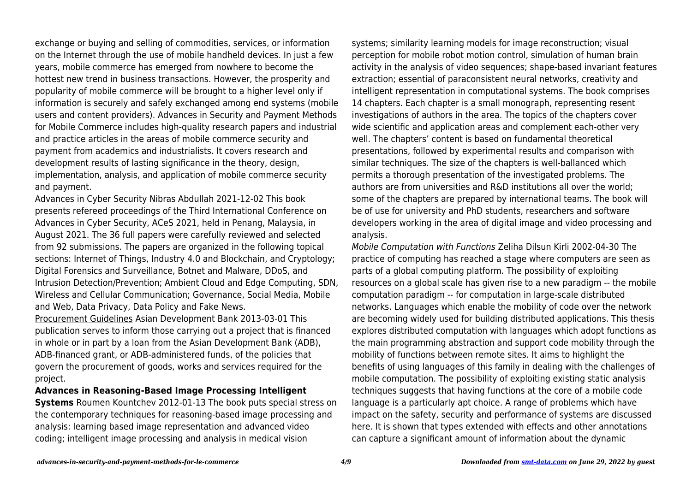exchange or buying and selling of commodities, services, or information on the Internet through the use of mobile handheld devices. In just a few years, mobile commerce has emerged from nowhere to become the hottest new trend in business transactions. However, the prosperity and popularity of mobile commerce will be brought to a higher level only if information is securely and safely exchanged among end systems (mobile users and content providers). Advances in Security and Payment Methods for Mobile Commerce includes high-quality research papers and industrial and practice articles in the areas of mobile commerce security and payment from academics and industrialists. It covers research and development results of lasting significance in the theory, design, implementation, analysis, and application of mobile commerce security and payment.

Advances in Cyber Security Nibras Abdullah 2021-12-02 This book presents refereed proceedings of the Third International Conference on Advances in Cyber Security, ACeS 2021, held in Penang, Malaysia, in August 2021. The 36 full papers were carefully reviewed and selected from 92 submissions. The papers are organized in the following topical sections: Internet of Things, Industry 4.0 and Blockchain, and Cryptology; Digital Forensics and Surveillance, Botnet and Malware, DDoS, and Intrusion Detection/Prevention; Ambient Cloud and Edge Computing, SDN, Wireless and Cellular Communication; Governance, Social Media, Mobile and Web, Data Privacy, Data Policy and Fake News. Procurement Guidelines Asian Development Bank 2013-03-01 This publication serves to inform those carrying out a project that is financed in whole or in part by a loan from the Asian Development Bank (ADB), ADB-financed grant, or ADB-administered funds, of the policies that govern the procurement of goods, works and services required for the

#### **Advances in Reasoning-Based Image Processing Intelligent**

**Systems** Roumen Kountchev 2012-01-13 The book puts special stress on the contemporary techniques for reasoning-based image processing and analysis: learning based image representation and advanced video coding; intelligent image processing and analysis in medical vision

systems; similarity learning models for image reconstruction; visual perception for mobile robot motion control, simulation of human brain activity in the analysis of video sequences; shape-based invariant features extraction; essential of paraconsistent neural networks, creativity and intelligent representation in computational systems. The book comprises 14 chapters. Each chapter is a small monograph, representing resent investigations of authors in the area. The topics of the chapters cover wide scientific and application areas and complement each-other very well. The chapters' content is based on fundamental theoretical presentations, followed by experimental results and comparison with similar techniques. The size of the chapters is well-ballanced which permits a thorough presentation of the investigated problems. The authors are from universities and R&D institutions all over the world; some of the chapters are prepared by international teams. The book will be of use for university and PhD students, researchers and software developers working in the area of digital image and video processing and analysis.

Mobile Computation with Functions Zeliha Dilsun Kirli 2002-04-30 The practice of computing has reached a stage where computers are seen as parts of a global computing platform. The possibility of exploiting resources on a global scale has given rise to a new paradigm -- the mobile computation paradigm -- for computation in large-scale distributed networks. Languages which enable the mobility of code over the network are becoming widely used for building distributed applications. This thesis explores distributed computation with languages which adopt functions as the main programming abstraction and support code mobility through the mobility of functions between remote sites. It aims to highlight the benefits of using languages of this family in dealing with the challenges of mobile computation. The possibility of exploiting existing static analysis techniques suggests that having functions at the core of a mobile code language is a particularly apt choice. A range of problems which have impact on the safety, security and performance of systems are discussed here. It is shown that types extended with effects and other annotations can capture a significant amount of information about the dynamic

project.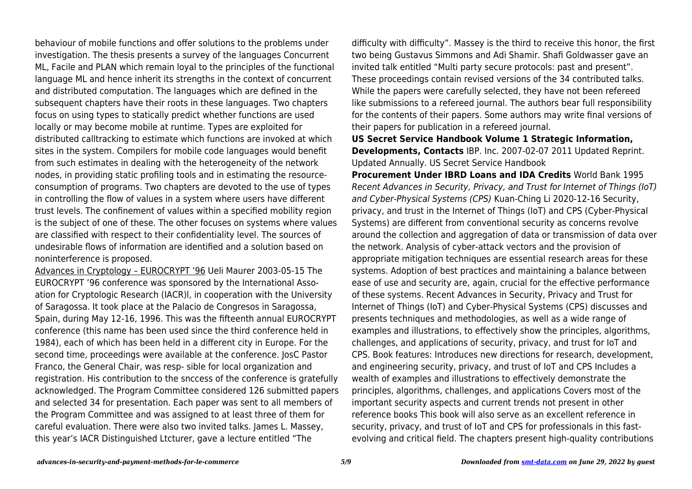behaviour of mobile functions and offer solutions to the problems under investigation. The thesis presents a survey of the languages Concurrent ML, Facile and PLAN which remain loyal to the principles of the functional language ML and hence inherit its strengths in the context of concurrent and distributed computation. The languages which are defined in the subsequent chapters have their roots in these languages. Two chapters focus on using types to statically predict whether functions are used locally or may become mobile at runtime. Types are exploited for distributed calltracking to estimate which functions are invoked at which sites in the system. Compilers for mobile code languages would benefit from such estimates in dealing with the heterogeneity of the network nodes, in providing static profiling tools and in estimating the resourceconsumption of programs. Two chapters are devoted to the use of types in controlling the flow of values in a system where users have different trust levels. The confinement of values within a specified mobility region is the subject of one of these. The other focuses on systems where values are classified with respect to their confidentiality level. The sources of undesirable flows of information are identified and a solution based on noninterference is proposed.

Advances in Cryptology – EUROCRYPT '96 Ueli Maurer 2003-05-15 The EUROCRYPT '96 conference was sponsored by the International Assoation for Cryptologic Research (IACR)l, in cooperation with the University of Saragossa. It took place at the Palacio de Congresos in Saragossa, Spain, during May 12-16, 1996. This was the fifteenth annual EUROCRYPT conference (this name has been used since the third conference held in 1984), each of which has been held in a different city in Europe. For the second time, proceedings were available at the conference. JosC Pastor Franco, the General Chair, was resp- sible for local organization and registration. His contribution to the snccess of the conference is gratefully acknowledged. The Program Committee considered 126 submitted papers and selected 34 for presentation. Each paper was sent to all members of the Program Committee and was assigned to at least three of them for careful evaluation. There were also two invited talks. James L. Massey, this year's IACR Distinguished Ltcturer, gave a lecture entitled "The

difficulty with difficulty". Massey is the third to receive this honor, the first two being Gustavus Simmons and Adi Shamir. Shafi Goldwasser gave an invited talk entitled "Multi party secure protocols: past and present". These proceedings contain revised versions of the 34 contributed talks. While the papers were carefully selected, they have not been refereed like submissions to a refereed journal. The authors bear full responsibility for the contents of their papers. Some authors may write final versions of their papers for publication in a refereed journal.

**US Secret Service Handbook Volume 1 Strategic Information, Developments, Contacts** IBP. Inc. 2007-02-07 2011 Updated Reprint. Updated Annually. US Secret Service Handbook

**Procurement Under IBRD Loans and IDA Credits** World Bank 1995 Recent Advances in Security, Privacy, and Trust for Internet of Things (IoT) and Cyber-Physical Systems (CPS) Kuan-Ching Li 2020-12-16 Security, privacy, and trust in the Internet of Things (IoT) and CPS (Cyber-Physical Systems) are different from conventional security as concerns revolve around the collection and aggregation of data or transmission of data over the network. Analysis of cyber-attack vectors and the provision of appropriate mitigation techniques are essential research areas for these systems. Adoption of best practices and maintaining a balance between ease of use and security are, again, crucial for the effective performance of these systems. Recent Advances in Security, Privacy and Trust for Internet of Things (IoT) and Cyber-Physical Systems (CPS) discusses and presents techniques and methodologies, as well as a wide range of examples and illustrations, to effectively show the principles, algorithms, challenges, and applications of security, privacy, and trust for IoT and CPS. Book features: Introduces new directions for research, development, and engineering security, privacy, and trust of IoT and CPS Includes a wealth of examples and illustrations to effectively demonstrate the principles, algorithms, challenges, and applications Covers most of the important security aspects and current trends not present in other reference books This book will also serve as an excellent reference in security, privacy, and trust of IoT and CPS for professionals in this fastevolving and critical field. The chapters present high-quality contributions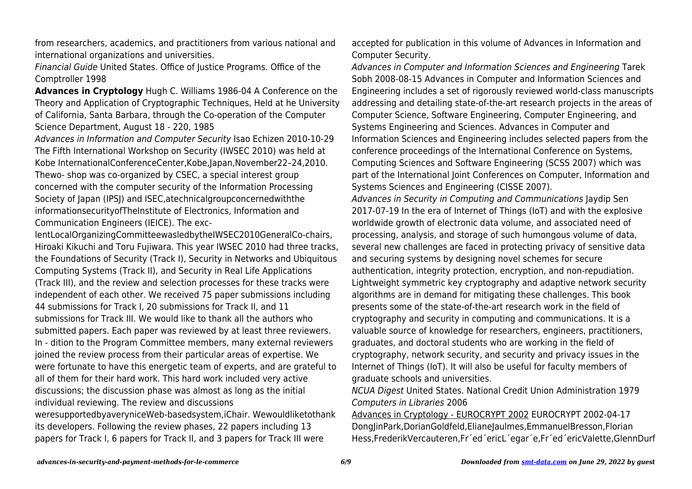from researchers, academics, and practitioners from various national and international organizations and universities.

Financial Guide United States. Office of Justice Programs. Office of the Comptroller 1998

**Advances in Cryptology** Hugh C. Williams 1986-04 A Conference on the Theory and Application of Cryptographic Techniques, Held at he University of California, Santa Barbara, through the Co-operation of the Computer Science Department, August 18 - 220, 1985

Advances in Information and Computer Security Isao Echizen 2010-10-29 The Fifth International Workshop on Security (IWSEC 2010) was held at Kobe InternationalConferenceCenter,Kobe,Japan,November22–24,2010. Thewo- shop was co-organized by CSEC, a special interest group concerned with the computer security of the Information Processing Society of Japan (IPSJ) and ISEC,atechnicalgroupconcernedwiththe informationsecurityofTheInstitute of Electronics, Information and Communication Engineers (IEICE). The exc-

lentLocalOrganizingCommitteewasledbytheIWSEC2010GeneralCo-chairs, Hiroaki Kikuchi and Toru Fujiwara. This year IWSEC 2010 had three tracks, the Foundations of Security (Track I), Security in Networks and Ubiquitous Computing Systems (Track II), and Security in Real Life Applications (Track III), and the review and selection processes for these tracks were independent of each other. We received 75 paper submissions including 44 submissions for Track I, 20 submissions for Track II, and 11 submissions for Track III. We would like to thank all the authors who submitted papers. Each paper was reviewed by at least three reviewers. In - dition to the Program Committee members, many external reviewers joined the review process from their particular areas of expertise. We were fortunate to have this energetic team of experts, and are grateful to all of them for their hard work. This hard work included very active discussions; the discussion phase was almost as long as the initial individual reviewing. The review and discussions weresupportedbyaveryniceWeb-basedsystem,iChair. Wewouldliketothank its developers. Following the review phases, 22 papers including 13 papers for Track I, 6 papers for Track II, and 3 papers for Track III were

accepted for publication in this volume of Advances in Information and Computer Security.

Advances in Computer and Information Sciences and Engineering Tarek Sobh 2008-08-15 Advances in Computer and Information Sciences and Engineering includes a set of rigorously reviewed world-class manuscripts addressing and detailing state-of-the-art research projects in the areas of Computer Science, Software Engineering, Computer Engineering, and Systems Engineering and Sciences. Advances in Computer and Information Sciences and Engineering includes selected papers from the conference proceedings of the International Conference on Systems, Computing Sciences and Software Engineering (SCSS 2007) which was part of the International Joint Conferences on Computer, Information and Systems Sciences and Engineering (CISSE 2007).

Advances in Security in Computing and Communications Jaydip Sen 2017-07-19 In the era of Internet of Things (IoT) and with the explosive worldwide growth of electronic data volume, and associated need of processing, analysis, and storage of such humongous volume of data, several new challenges are faced in protecting privacy of sensitive data and securing systems by designing novel schemes for secure authentication, integrity protection, encryption, and non-repudiation. Lightweight symmetric key cryptography and adaptive network security algorithms are in demand for mitigating these challenges. This book presents some of the state-of-the-art research work in the field of cryptography and security in computing and communications. It is a valuable source of knowledge for researchers, engineers, practitioners, graduates, and doctoral students who are working in the field of cryptography, network security, and security and privacy issues in the Internet of Things (IoT). It will also be useful for faculty members of graduate schools and universities.

NCUA Digest United States. National Credit Union Administration 1979 Computers in Libraries 2006

Advances in Cryptology - EUROCRYPT 2002 EUROCRYPT 2002-04-17 DonglinPark,DorianGoldfeld,ElianeJaulmes,EmmanuelBresson,Florian Hess,FrederikVercauteren,Fr´ed´ericL´egar´e,Fr´ed´ericValette,GlennDurf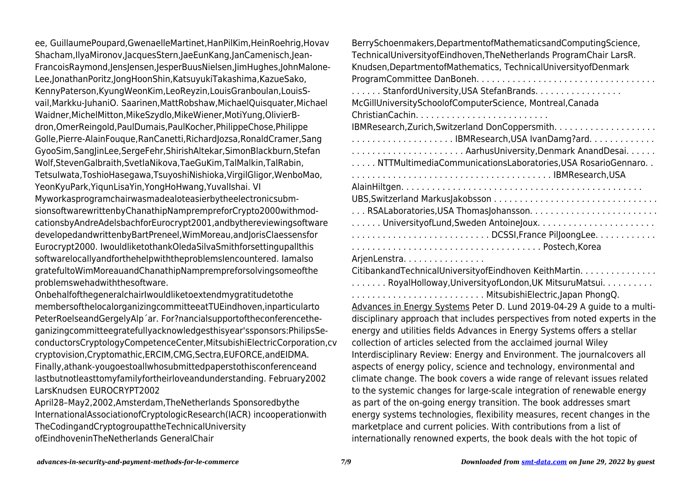ee, GuillaumePoupard,GwenaelleMartinet,HanPilKim,HeinRoehrig,Hovav Shacham,IlyaMironov,JacquesStern,JaeEunKang,JanCamenisch,Jean-FrancoisRaymond,JensJensen,JesperBuusNielsen,JimHughes,JohnMalone-Lee,JonathanPoritz,JongHoonShin,KatsuyukiTakashima,KazueSako, KennyPaterson,KyungWeonKim,LeoReyzin,LouisGranboulan,LouisSvail,Markku-JuhaniO. Saarinen,MattRobshaw,MichaelQuisquater,Michael Waidner,MichelMitton,MikeSzydlo,MikeWiener,MotiYung,OlivierBdron,OmerReingold,PaulDumais,PaulKocher,PhilippeChose,Philippe Golle,Pierre-AlainFouque,RanCanetti,RichardJozsa,RonaldCramer,Sang GyooSim,SangJinLee,SergeFehr,ShirishAltekar,SimonBlackburn,Stefan Wolf,StevenGalbraith,SvetlaNikova,TaeGuKim,TalMalkin,TalRabin, TetsuIwata,ToshioHasegawa,TsuyoshiNishioka,VirgilGligor,WenboMao, YeonKyuPark,YiqunLisaYin,YongHoHwang,YuvalIshai. VI MyworkasprogramchairwasmadealoteasierbytheelectronicsubmsionsoftwarewrittenbyChanathipNamprempreforCrypto2000withmodcationsbyAndreAdelsbachforEurocrypt2001,andbythereviewingsoftware developedandwrittenbyBartPreneel,WimMoreau,andJorisClaessensfor Eurocrypt2000. IwouldliketothankOledaSilvaSmithforsettingupallthis softwarelocallyandforthehelpwiththeproblemsIencountered. Iamalso gratefultoWimMoreauandChanathipNamprempreforsolvingsomeofthe problemswehadwiththesoftware.

OnbehalfofthegeneralchairIwouldliketoextendmygratitudetothe membersofthelocalorganizingcommitteeatTUEindhoven,inparticularto PeterRoelseandGergelyAlp´ar. For?nancialsupportoftheconferencetheganizingcommitteegratefullyacknowledgesthisyear'ssponsors:PhilipsSeconductorsCryptologyCompetenceCenter,MitsubishiElectricCorporation,cv cryptovision,Cryptomathic,ERCIM,CMG,Sectra,EUFORCE,andEIDMA. Finally,athank-yougoestoallwhosubmittedpaperstothisconferenceand lastbutnotleasttomyfamilyfortheirloveandunderstanding. February2002 LarsKnudsen EUROCRYPT2002

April28–May2,2002,Amsterdam,TheNetherlands Sponsoredbythe InternationalAssociationofCryptologicResearch(IACR) incooperationwith TheCodingandCryptogroupattheTechnicalUniversity ofEindhoveninTheNetherlands GeneralChair

BerrySchoenmakers,DepartmentofMathematicsandComputingScience, TechnicalUniversityofEindhoven,TheNetherlands ProgramChair LarsR. Knudsen,DepartmentofMathematics, TechnicalUniversityofDenmark ProgramCommittee DanBoneh. . . . . . . . . . . . . . . . . . . . . . . . . . . . . . . . . . . . . . . . . . StanfordUniversity, USA StefanBrands. . . . . . . . . . . . . . . . . . McGillUniversitySchoolofComputerScience, Montreal,Canada ChristianCachin. . . . . . . . . . . . . . . . . . . . . . . . . . IBMResearch,Zurich,Switzerland DonCoppersmith. . . . . . . . . . . . . . . . . . . . . . . . . . . . . . . . . . . . . . . . IBMResearch,USA IvanDamg?ard. . . . . . . . . . . . . . . . . . . . . . . . . . . . . . . . . . . AarhusUniversity,Denmark AnandDesai. . . . . . . . . . . NTTMultimediaCommunicationsLaboratories,USA RosarioGennaro. . . . . . . . . . . . . . . . . . . . . . . . . . . . . . . . . . . . . . . . . IBMResearch,USA AlainHiltgen. . . . . . . . . . . . . . . . . . . . . . . . . . . . . . . . . . . . . . . . . . . . . . . UBS,Switzerland MarkusJakobsson . . . . . . . . . . . . . . . . . . . . . . . . . . . . . . . . . . . RSALaboratories,USA ThomasJohansson. . . . . . . . . . . . . . . . . . . . . . . . . . . . . . . UniversityofLund,Sweden AntoineJoux. . . . . . . . . . . . . . . . . . . . . . . . . . . . . . . . . . . . . . . . . . . . . . . . . . DCSSI,France PilJoongLee. . . . . . . . . . . . . . . . . . . . . . . . . . . . . . . . . . . . . . . . . . . . . . . . . Postech,Korea ArjenLenstra. . . . . . . . . . . . . . . . CitibankandTechnicalUniversityofEindhoven KeithMartin. . . . . . . . . . . . . . . . . . . . . . RoyalHolloway, University of London, UK Mitsuru Matsui. . . . . . . . . . . . . . . . . . . . . . . . . . . . . . . . . . . . MitsubishiElectric,Japan PhongQ. Advances in Energy Systems Peter D. Lund 2019-04-29 A guide to a multidisciplinary approach that includes perspectives from noted experts in the energy and utilities fields Advances in Energy Systems offers a stellar collection of articles selected from the acclaimed journal Wiley Interdisciplinary Review: Energy and Environment. The journalcovers all aspects of energy policy, science and technology, environmental and climate change. The book covers a wide range of relevant issues related to the systemic changes for large-scale integration of renewable energy as part of the on-going energy transition. The book addresses smart energy systems technologies, flexibility measures, recent changes in the marketplace and current policies. With contributions from a list of internationally renowned experts, the book deals with the hot topic of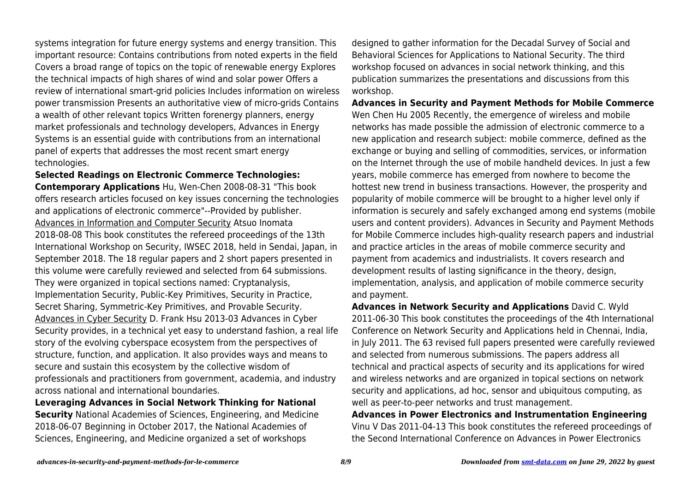systems integration for future energy systems and energy transition. This important resource: Contains contributions from noted experts in the field Covers a broad range of topics on the topic of renewable energy Explores the technical impacts of high shares of wind and solar power Offers a review of international smart-grid policies Includes information on wireless power transmission Presents an authoritative view of micro-grids Contains a wealth of other relevant topics Written forenergy planners, energy market professionals and technology developers, Advances in Energy Systems is an essential guide with contributions from an international panel of experts that addresses the most recent smart energy technologies.

#### **Selected Readings on Electronic Commerce Technologies:**

**Contemporary Applications** Hu, Wen-Chen 2008-08-31 "This book offers research articles focused on key issues concerning the technologies and applications of electronic commerce"--Provided by publisher. Advances in Information and Computer Security Atsuo Inomata 2018-08-08 This book constitutes the refereed proceedings of the 13th International Workshop on Security, IWSEC 2018, held in Sendai, Japan, in September 2018. The 18 regular papers and 2 short papers presented in this volume were carefully reviewed and selected from 64 submissions. They were organized in topical sections named: Cryptanalysis, Implementation Security, Public-Key Primitives, Security in Practice, Secret Sharing, Symmetric-Key Primitives, and Provable Security. Advances in Cyber Security D. Frank Hsu 2013-03 Advances in Cyber Security provides, in a technical yet easy to understand fashion, a real life story of the evolving cyberspace ecosystem from the perspectives of structure, function, and application. It also provides ways and means to secure and sustain this ecosystem by the collective wisdom of professionals and practitioners from government, academia, and industry across national and international boundaries.

## **Leveraging Advances in Social Network Thinking for National**

**Security** National Academies of Sciences, Engineering, and Medicine 2018-06-07 Beginning in October 2017, the National Academies of Sciences, Engineering, and Medicine organized a set of workshops

designed to gather information for the Decadal Survey of Social and Behavioral Sciences for Applications to National Security. The third workshop focused on advances in social network thinking, and this publication summarizes the presentations and discussions from this workshop.

**Advances in Security and Payment Methods for Mobile Commerce** Wen Chen Hu 2005 Recently, the emergence of wireless and mobile networks has made possible the admission of electronic commerce to a new application and research subject: mobile commerce, defined as the exchange or buying and selling of commodities, services, or information on the Internet through the use of mobile handheld devices. In just a few years, mobile commerce has emerged from nowhere to become the hottest new trend in business transactions. However, the prosperity and popularity of mobile commerce will be brought to a higher level only if information is securely and safely exchanged among end systems (mobile users and content providers). Advances in Security and Payment Methods for Mobile Commerce includes high-quality research papers and industrial and practice articles in the areas of mobile commerce security and payment from academics and industrialists. It covers research and development results of lasting significance in the theory, design, implementation, analysis, and application of mobile commerce security and payment.

**Advances in Network Security and Applications** David C. Wyld 2011-06-30 This book constitutes the proceedings of the 4th International Conference on Network Security and Applications held in Chennai, India, in July 2011. The 63 revised full papers presented were carefully reviewed and selected from numerous submissions. The papers address all technical and practical aspects of security and its applications for wired and wireless networks and are organized in topical sections on network security and applications, ad hoc, sensor and ubiquitous computing, as well as peer-to-peer networks and trust management.

**Advances in Power Electronics and Instrumentation Engineering** Vinu V Das 2011-04-13 This book constitutes the refereed proceedings of the Second International Conference on Advances in Power Electronics